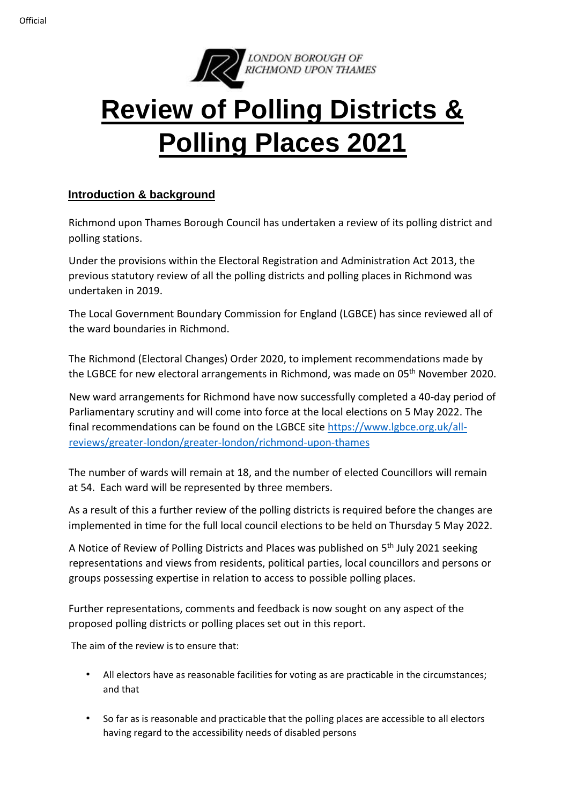

# **Review of Polling Districts & Polling Places 2021**

# **Introduction & background**

Richmond upon Thames Borough Council has undertaken a review of its polling district and polling stations.

Under the provisions within the Electoral Registration and Administration Act 2013, the previous statutory review of all the polling districts and polling places in Richmond was undertaken in 2019.

The Local Government Boundary Commission for England (LGBCE) has since reviewed all of the ward boundaries in Richmond.

The Richmond (Electoral Changes) Order 2020, to implement recommendations made by the LGBCE for new electoral arrangements in Richmond, was made on 05<sup>th</sup> November 2020.

New ward arrangements for Richmond have now successfully completed a 40-day period of Parliamentary scrutiny and will come into force at the local elections on 5 May 2022. The final recommendations can be found on the LGBCE site [https://www.lgbce.org.uk/all](https://www.lgbce.org.uk/all-reviews/greater-london/greater-london/richmond-upon-thames)[reviews/greater-london/greater-london/richmond-upon-thames](https://www.lgbce.org.uk/all-reviews/greater-london/greater-london/richmond-upon-thames)

The number of wards will remain at 18, and the number of elected Councillors will remain at 54. Each ward will be represented by three members.

As a result of this a further review of the polling districts is required before the changes are implemented in time for the full local council elections to be held on Thursday 5 May 2022.

A Notice of Review of Polling Districts and Places was published on 5<sup>th</sup> July 2021 seeking representations and views from residents, political parties, local councillors and persons or groups possessing expertise in relation to access to possible polling places.

Further representations, comments and feedback is now sought on any aspect of the proposed polling districts or polling places set out in this report.

The aim of the review is to ensure that:

- All electors have as reasonable facilities for voting as are practicable in the circumstances; and that
- So far as is reasonable and practicable that the polling places are accessible to all electors having regard to the accessibility needs of disabled persons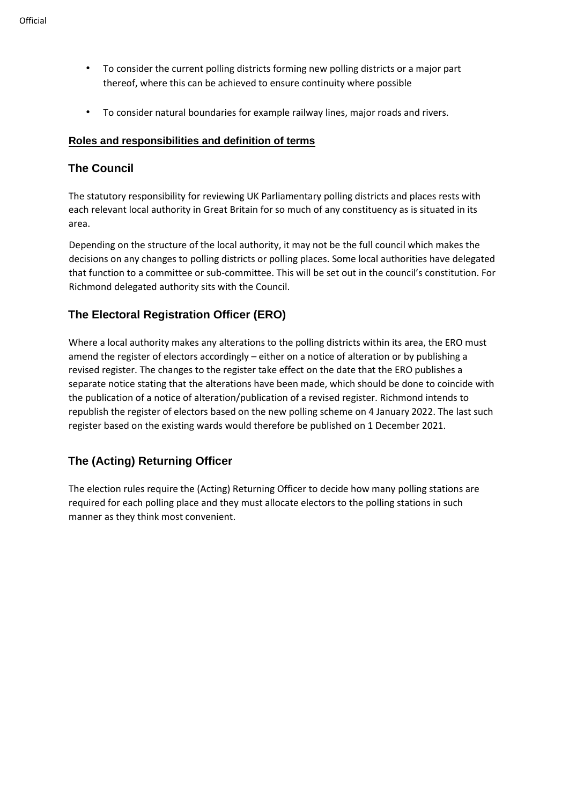- To consider the current polling districts forming new polling districts or a major part thereof, where this can be achieved to ensure continuity where possible
- To consider natural boundaries for example railway lines, major roads and rivers.

## **Roles and responsibilities and definition of terms**

## **The Council**

The statutory responsibility for reviewing UK Parliamentary polling districts and places rests with each relevant local authority in Great Britain for so much of any constituency as is situated in its area.

Depending on the structure of the local authority, it may not be the full council which makes the decisions on any changes to polling districts or polling places. Some local authorities have delegated that function to a committee or sub-committee. This will be set out in the council's constitution. For Richmond delegated authority sits with the Council.

# **The Electoral Registration Officer (ERO)**

Where a local authority makes any alterations to the polling districts within its area, the ERO must amend the register of electors accordingly – either on a notice of alteration or by publishing a revised register. The changes to the register take effect on the date that the ERO publishes a separate notice stating that the alterations have been made, which should be done to coincide with the publication of a notice of alteration/publication of a revised register. Richmond intends to republish the register of electors based on the new polling scheme on 4 January 2022. The last such register based on the existing wards would therefore be published on 1 December 2021.

# **The (Acting) Returning Officer**

The election rules require the (Acting) Returning Officer to decide how many polling stations are required for each polling place and they must allocate electors to the polling stations in such manner as they think most convenient.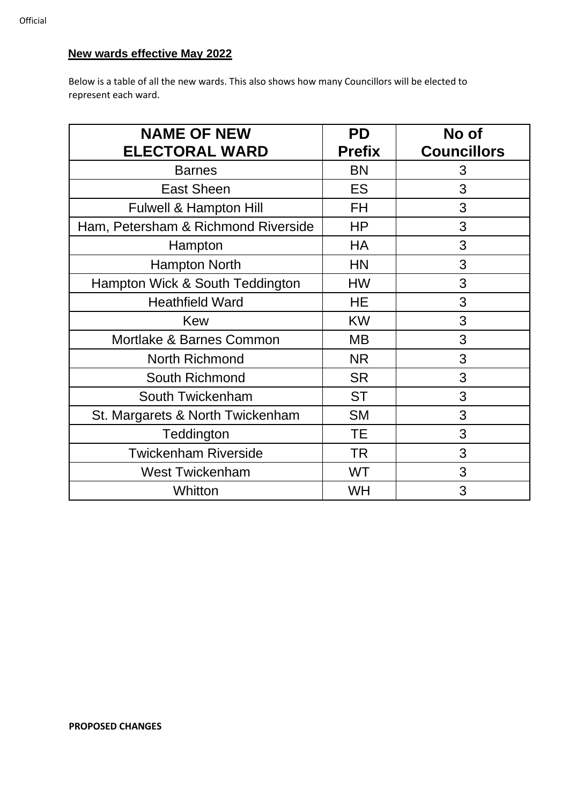# **New wards effective May 2022**

Below is a table of all the new wards. This also shows how many Councillors will be elected to represent each ward.

| <b>NAME OF NEW</b>                  | <b>PD</b>     | No of              |
|-------------------------------------|---------------|--------------------|
| <b>ELECTORAL WARD</b>               | <b>Prefix</b> | <b>Councillors</b> |
| <b>Barnes</b>                       | <b>BN</b>     | 3                  |
| <b>East Sheen</b>                   | ES            | 3                  |
| Fulwell & Hampton Hill              | FH            | 3                  |
| Ham, Petersham & Richmond Riverside | <b>HP</b>     | 3                  |
| Hampton                             | HA            | 3                  |
| <b>Hampton North</b>                | <b>HN</b>     | 3                  |
| Hampton Wick & South Teddington     | <b>HW</b>     | 3                  |
| <b>Heathfield Ward</b>              | HE            | 3                  |
| <b>Kew</b>                          | <b>KW</b>     | 3                  |
| Mortlake & Barnes Common            | <b>MB</b>     | 3                  |
| <b>North Richmond</b>               | <b>NR</b>     | 3                  |
| South Richmond                      | <b>SR</b>     | 3                  |
| South Twickenham                    | <b>ST</b>     | 3                  |
| St. Margarets & North Twickenham    | <b>SM</b>     | 3                  |
| Teddington                          | <b>TE</b>     | 3                  |
| <b>Twickenham Riverside</b>         | <b>TR</b>     | 3                  |
| <b>West Twickenham</b>              | <b>WT</b>     | 3                  |
| Whitton                             | WH            | 3                  |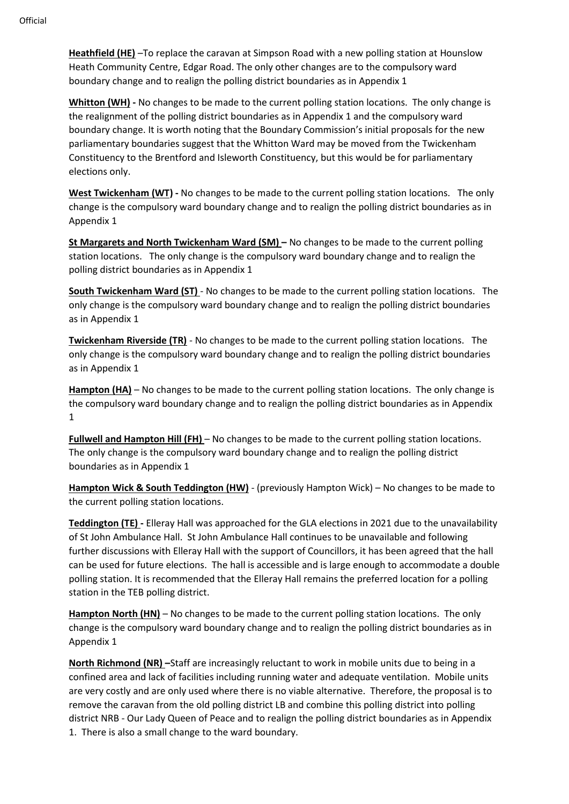**Heathfield (HE)** –To replace the caravan at Simpson Road with a new polling station at Hounslow Heath Community Centre, Edgar Road. The only other changes are to the compulsory ward boundary change and to realign the polling district boundaries as in Appendix 1

**Whitton (WH) -** No changes to be made to the current polling station locations. The only change is the realignment of the polling district boundaries as in Appendix 1 and the compulsory ward boundary change. It is worth noting that the Boundary Commission's initial proposals for the new parliamentary boundaries suggest that the Whitton Ward may be moved from the Twickenham Constituency to the Brentford and Isleworth Constituency, but this would be for parliamentary elections only.

**West Twickenham (WT) -** No changes to be made to the current polling station locations. The only change is the compulsory ward boundary change and to realign the polling district boundaries as in Appendix 1

**St Margarets and North Twickenham Ward (SM) –** No changes to be made to the current polling station locations. The only change is the compulsory ward boundary change and to realign the polling district boundaries as in Appendix 1

**South Twickenham Ward (ST)** - No changes to be made to the current polling station locations. The only change is the compulsory ward boundary change and to realign the polling district boundaries as in Appendix 1

**Twickenham Riverside (TR)** - No changes to be made to the current polling station locations. The only change is the compulsory ward boundary change and to realign the polling district boundaries as in Appendix 1

**Hampton (HA)** – No changes to be made to the current polling station locations. The only change is the compulsory ward boundary change and to realign the polling district boundaries as in Appendix 1

**Fullwell and Hampton Hill (FH)** – No changes to be made to the current polling station locations. The only change is the compulsory ward boundary change and to realign the polling district boundaries as in Appendix 1

**Hampton Wick & South Teddington (HW)** - (previously Hampton Wick) – No changes to be made to the current polling station locations.

**Teddington (TE) -** Elleray Hall was approached for the GLA elections in 2021 due to the unavailability of St John Ambulance Hall. St John Ambulance Hall continues to be unavailable and following further discussions with Elleray Hall with the support of Councillors, it has been agreed that the hall can be used for future elections. The hall is accessible and is large enough to accommodate a double polling station. It is recommended that the Elleray Hall remains the preferred location for a polling station in the TEB polling district.

**Hampton North (HN)** – No changes to be made to the current polling station locations. The only change is the compulsory ward boundary change and to realign the polling district boundaries as in Appendix 1

**North Richmond (NR) –**Staff are increasingly reluctant to work in mobile units due to being in a confined area and lack of facilities including running water and adequate ventilation. Mobile units are very costly and are only used where there is no viable alternative. Therefore, the proposal is to remove the caravan from the old polling district LB and combine this polling district into polling district NRB - Our Lady Queen of Peace and to realign the polling district boundaries as in Appendix 1. There is also a small change to the ward boundary.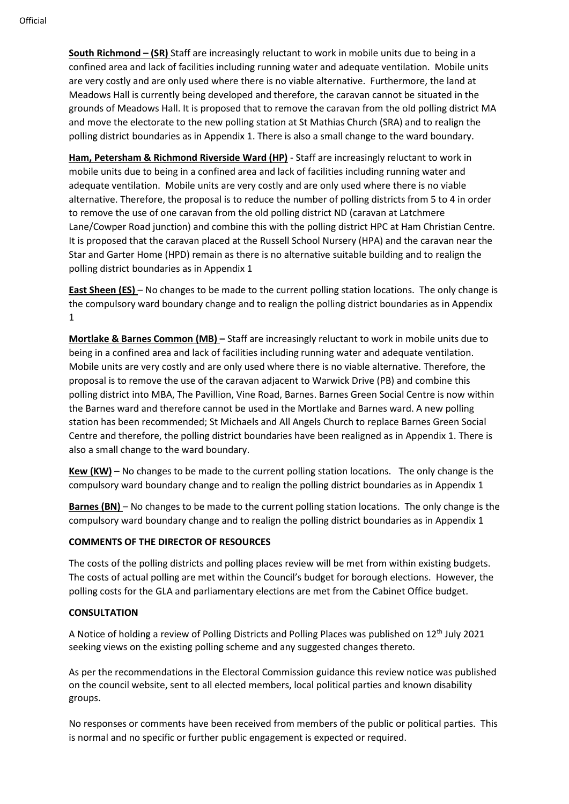**South Richmond – (SR)** Staff are increasingly reluctant to work in mobile units due to being in a confined area and lack of facilities including running water and adequate ventilation. Mobile units are very costly and are only used where there is no viable alternative. Furthermore, the land at Meadows Hall is currently being developed and therefore, the caravan cannot be situated in the grounds of Meadows Hall. It is proposed that to remove the caravan from the old polling district MA and move the electorate to the new polling station at St Mathias Church (SRA) and to realign the polling district boundaries as in Appendix 1. There is also a small change to the ward boundary.

**Ham, Petersham & Richmond Riverside Ward (HP)** - Staff are increasingly reluctant to work in mobile units due to being in a confined area and lack of facilities including running water and adequate ventilation. Mobile units are very costly and are only used where there is no viable alternative. Therefore, the proposal is to reduce the number of polling districts from 5 to 4 in order to remove the use of one caravan from the old polling district ND (caravan at Latchmere Lane/Cowper Road junction) and combine this with the polling district HPC at Ham Christian Centre. It is proposed that the caravan placed at the Russell School Nursery (HPA) and the caravan near the Star and Garter Home (HPD) remain as there is no alternative suitable building and to realign the polling district boundaries as in Appendix 1

**East Sheen (ES)** – No changes to be made to the current polling station locations. The only change is the compulsory ward boundary change and to realign the polling district boundaries as in Appendix 1

**Mortlake & Barnes Common (MB) –** Staff are increasingly reluctant to work in mobile units due to being in a confined area and lack of facilities including running water and adequate ventilation. Mobile units are very costly and are only used where there is no viable alternative. Therefore, the proposal is to remove the use of the caravan adjacent to Warwick Drive (PB) and combine this polling district into MBA, The Pavillion, Vine Road, Barnes. Barnes Green Social Centre is now within the Barnes ward and therefore cannot be used in the Mortlake and Barnes ward. A new polling station has been recommended; St Michaels and All Angels Church to replace Barnes Green Social Centre and therefore, the polling district boundaries have been realigned as in Appendix 1. There is also a small change to the ward boundary.

**Kew (KW)** – No changes to be made to the current polling station locations. The only change is the compulsory ward boundary change and to realign the polling district boundaries as in Appendix 1

**Barnes (BN)** – No changes to be made to the current polling station locations. The only change is the compulsory ward boundary change and to realign the polling district boundaries as in Appendix 1

### **COMMENTS OF THE DIRECTOR OF RESOURCES**

The costs of the polling districts and polling places review will be met from within existing budgets. The costs of actual polling are met within the Council's budget for borough elections. However, the polling costs for the GLA and parliamentary elections are met from the Cabinet Office budget.

## **CONSULTATION**

A Notice of holding a review of Polling Districts and Polling Places was published on 12th July 2021 seeking views on the existing polling scheme and any suggested changes thereto.

As per the recommendations in the Electoral Commission guidance this review notice was published on the council website, sent to all elected members, local political parties and known disability groups.

No responses or comments have been received from members of the public or political parties. This is normal and no specific or further public engagement is expected or required.